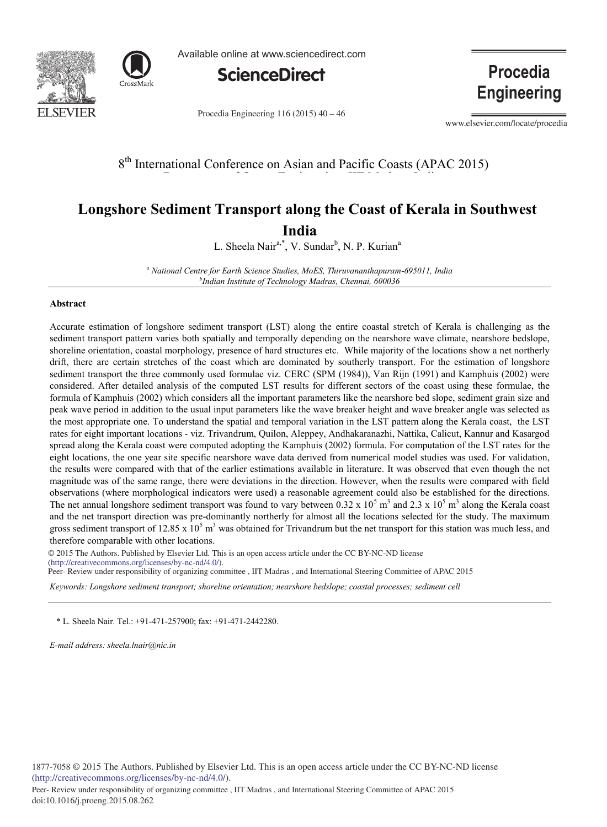



Available online at www.sciencedirect.com



Procedia Engineering  $116 (2015) 40 - 46$ 

**Procedia Engineering** 

www.elsevier.com/locate/procedia

# 8<sup>th</sup> International Conference on Asian and Pacific Coasts (APAC 2015)

# **Longshore Sediment Transport along the Coast of Kerala in Southwest India**

L. Sheela Nair<sup>a,\*</sup>, V. Sundar<sup>b</sup>, N. P. Kurian<sup>a</sup>

*<sup>a</sup> National Centre for Earth Science Studies, MoES, Thiruvananthapuram-695011, India b Indian Institute of Technology Madras, Chennai, 600036*

#### **Abstract**

Accurate estimation of longshore sediment transport (LST) along the entire coastal stretch of Kerala is challenging as the sediment transport pattern varies both spatially and temporally depending on the nearshore wave climate, nearshore bedslope, shoreline orientation, coastal morphology, presence of hard structures etc. While majority of the locations show a net northerly drift, there are certain stretches of the coast which are dominated by southerly transport. For the estimation of longshore sediment transport the three commonly used formulae viz. CERC (SPM (1984)), Van Rijn (1991) and Kamphuis (2002) were considered. After detailed analysis of the computed LST results for different sectors of the coast using these formulae, the formula of Kamphuis (2002) which considers all the important parameters like the nearshore bed slope, sediment grain size and peak wave period in addition to the usual input parameters like the wave breaker height and wave breaker angle was selected as the most appropriate one. To understand the spatial and temporal variation in the LST pattern along the Kerala coast, the LST rates for eight important locations - viz. Trivandrum, Quilon, Aleppey, Andhakaranazhi, Nattika, Calicut, Kannur and Kasargod spread along the Kerala coast were computed adopting the Kamphuis (2002) formula. For computation of the LST rates for the eight locations, the one year site specific nearshore wave data derived from numerical model studies was used. For validation, the results were compared with that of the earlier estimations available in literature. It was observed that even though the net magnitude was of the same range, there were deviations in the direction. However, when the results were compared with field observations (where morphological indicators were used) a reasonable agreement could also be established for the directions. The net annual longshore sediment transport was found to vary between  $0.32 \times 10^5$  m<sup>3</sup> and  $2.3 \times 10^5$  m<sup>3</sup> along the Kerala coast and the net transport direction was pre-dominantly northerly for almost all the locations selected for the study. The maximum gross sediment transport of 12.85 x  $10^5$  m<sup>3</sup> was obtained for Trivandrum but the net transport for this station was much less, and therefore comparable with other locations.

© 2015 The Authors. Published by Elsevier Ltd. This is an open access article under the CC BY-NC-ND license (http://creativecommons.org/licenses/by-nc-nd/4.0/).<br>Peer- Review under responsibility of organizing committee , IIT Madras , and International Steering Committee of APAC 2015 (http://creativecommons.org/licenses/by-nc-nd/4.0/).

*Keywords: Longshore sediment transport; shoreline orientation; nearshore bedslope; coastal processes; sediment cell*

\* L. Sheela Nair. Tel.: +91-471-257900; fax: +91-471-2442280.

*E-mail address: sheela.lnair@nic.in*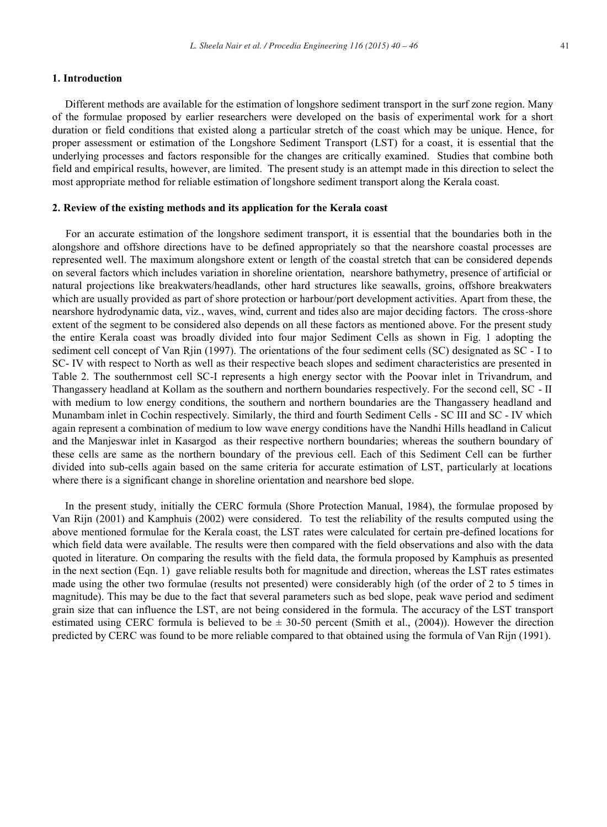#### **1. Introduction**

Different methods are available for the estimation of longshore sediment transport in the surf zone region. Many of the formulae proposed by earlier researchers were developed on the basis of experimental work for a short duration or field conditions that existed along a particular stretch of the coast which may be unique. Hence, for proper assessment or estimation of the Longshore Sediment Transport (LST) for a coast, it is essential that the underlying processes and factors responsible for the changes are critically examined. Studies that combine both field and empirical results, however, are limited. The present study is an attempt made in this direction to select the most appropriate method for reliable estimation of longshore sediment transport along the Kerala coast.

#### **2. Review of the existing methods and its application for the Kerala coast**

For an accurate estimation of the longshore sediment transport, it is essential that the boundaries both in the alongshore and offshore directions have to be defined appropriately so that the nearshore coastal processes are represented well. The maximum alongshore extent or length of the coastal stretch that can be considered depends on several factors which includes variation in shoreline orientation, nearshore bathymetry, presence of artificial or natural projections like breakwaters/headlands, other hard structures like seawalls, groins, offshore breakwaters which are usually provided as part of shore protection or harbour/port development activities. Apart from these, the nearshore hydrodynamic data, viz., waves, wind, current and tides also are major deciding factors. The cross-shore extent of the segment to be considered also depends on all these factors as mentioned above. For the present study the entire Kerala coast was broadly divided into four major Sediment Cells as shown in Fig. 1 adopting the sediment cell concept of Van Rjin (1997). The orientations of the four sediment cells (SC) designated as SC - I to SC- IV with respect to North as well as their respective beach slopes and sediment characteristics are presented in Table 2. The southernmost cell SC-I represents a high energy sector with the Poovar inlet in Trivandrum, and Thangassery headland at Kollam as the southern and northern boundaries respectively. For the second cell, SC - II with medium to low energy conditions, the southern and northern boundaries are the Thangassery headland and Munambam inlet in Cochin respectively. Similarly, the third and fourth Sediment Cells - SC III and SC - IV which again represent a combination of medium to low wave energy conditions have the Nandhi Hills headland in Calicut and the Manjeswar inlet in Kasargod as their respective northern boundaries; whereas the southern boundary of these cells are same as the northern boundary of the previous cell. Each of this Sediment Cell can be further divided into sub-cells again based on the same criteria for accurate estimation of LST, particularly at locations where there is a significant change in shoreline orientation and nearshore bed slope.

In the present study, initially the CERC formula (Shore Protection Manual, 1984), the formulae proposed by Van Rijn (2001) and Kamphuis (2002) were considered. To test the reliability of the results computed using the above mentioned formulae for the Kerala coast, the LST rates were calculated for certain pre-defined locations for which field data were available. The results were then compared with the field observations and also with the data quoted in literature. On comparing the results with the field data, the formula proposed by Kamphuis as presented in the next section (Eqn. 1) gave reliable results both for magnitude and direction, whereas the LST rates estimates made using the other two formulae (results not presented) were considerably high (of the order of 2 to 5 times in magnitude). This may be due to the fact that several parameters such as bed slope, peak wave period and sediment grain size that can influence the LST, are not being considered in the formula. The accuracy of the LST transport estimated using CERC formula is believed to be  $\pm$  30-50 percent (Smith et al., (2004)). However the direction predicted by CERC was found to be more reliable compared to that obtained using the formula of Van Rijn (1991).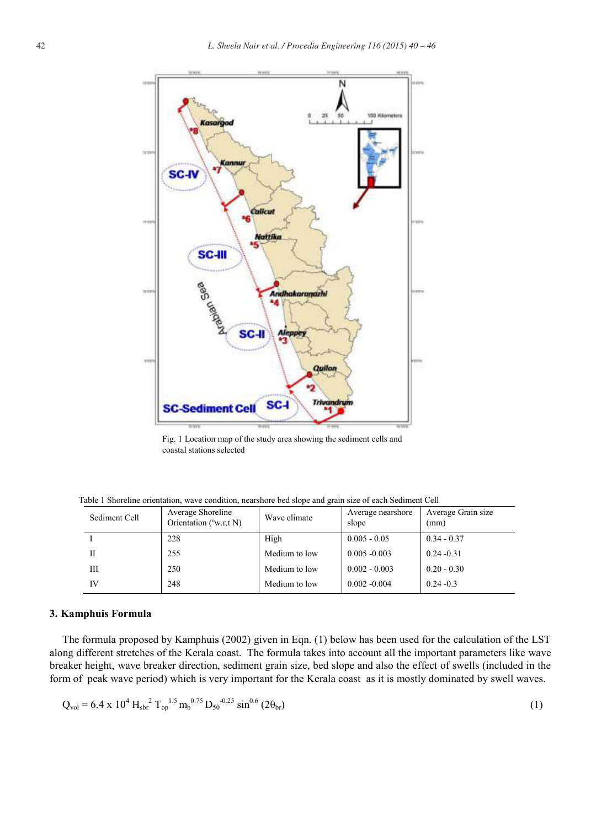



Table 1 Shoreline orientation, wave condition, nearshore bed slope and grain size of each Sediment Cell

| Sediment Cell | Average Shoreline<br>Orientation $(^{\circ}w.r.t N)$ | Wave climate  | Average nearshore<br>slope | Average Grain size<br>(mm) |
|---------------|------------------------------------------------------|---------------|----------------------------|----------------------------|
|               | 228                                                  | High          | $0.005 - 0.05$             | $0.34 - 0.37$              |
| Н             | 255                                                  | Medium to low | $0.005 - 0.003$            | $0.24 - 0.31$              |
| Ш             | 250                                                  | Medium to low | $0.002 - 0.003$            | $0.20 - 0.30$              |
| IV            | 248                                                  | Medium to low | $0.002 - 0.004$            | $0.24 - 0.3$               |

### **3. Kamphuis Formula**

The formula proposed by Kamphuis (2002) given in Eqn. (1) below has been used for the calculation of the LST along different stretches of the Kerala coast. The formula takes into account all the important parameters like wave breaker height, wave breaker direction, sediment grain size, bed slope and also the effect of swells (included in the form of peak wave period) which is very important for the Kerala coast as it is mostly dominated by swell waves.

$$
Q_{\text{vol}} = 6.4 \times 10^4 \, \text{H}_{\text{sbr}}^2 \, \text{T}_{\text{op}}^{1.5} \, \text{m}_b^{0.75} \, \text{D}_{50}^{-0.25} \, \sin^{0.6} \left( 2\theta_{\text{br}} \right) \tag{1}
$$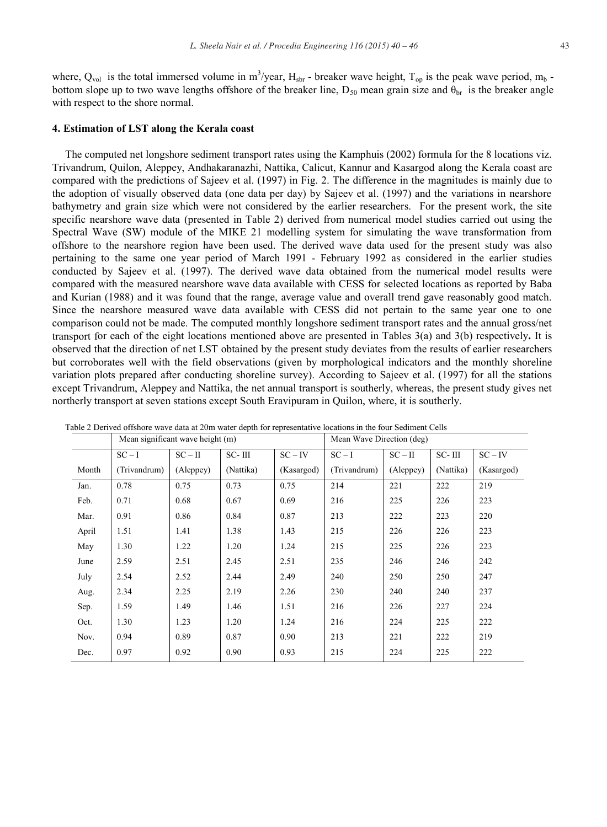where,  $Q_{vol}$  is the total immersed volume in m<sup>3</sup>/year, H<sub>sbr</sub> - breaker wave height,  $T_{op}$  is the peak wave period, m<sub>b</sub> bottom slope up to two wave lengths offshore of the breaker line,  $D_{50}$  mean grain size and  $\theta_{\rm br}$  is the breaker angle with respect to the shore normal.

#### **4. Estimation of LST along the Kerala coast**

The computed net longshore sediment transport rates using the Kamphuis (2002) formula for the 8 locations viz. Trivandrum, Quilon, Aleppey, Andhakaranazhi, Nattika, Calicut, Kannur and Kasargod along the Kerala coast are compared with the predictions of Sajeev et al. (1997) in Fig. 2. The difference in the magnitudes is mainly due to the adoption of visually observed data (one data per day) by Sajeev et al. (1997) and the variations in nearshore bathymetry and grain size which were not considered by the earlier researchers. For the present work, the site specific nearshore wave data (presented in Table 2) derived from numerical model studies carried out using the Spectral Wave (SW) module of the MIKE 21 modelling system for simulating the wave transformation from offshore to the nearshore region have been used. The derived wave data used for the present study was also pertaining to the same one year period of March 1991 - February 1992 as considered in the earlier studies conducted by Sajeev et al. (1997). The derived wave data obtained from the numerical model results were compared with the measured nearshore wave data available with CESS for selected locations as reported by Baba and Kurian (1988) and it was found that the range, average value and overall trend gave reasonably good match. Since the nearshore measured wave data available with CESS did not pertain to the same year one to one comparison could not be made. The computed monthly longshore sediment transport rates and the annual gross/net transport for each of the eight locations mentioned above are presented in Tables 3(a) and 3(b) respectively**.** It is observed that the direction of net LST obtained by the present study deviates from the results of earlier researchers but corroborates well with the field observations (given by morphological indicators and the monthly shoreline variation plots prepared after conducting shoreline survey). According to Sajeev et al. (1997) for all the stations except Trivandrum, Aleppey and Nattika, the net annual transport is southerly, whereas, the present study gives net northerly transport at seven stations except South Eravipuram in Quilon, where, it is southerly.

|       | Mean significant wave height (m) |           |           |            | Mean Wave Direction (deg) |           |           |            |
|-------|----------------------------------|-----------|-----------|------------|---------------------------|-----------|-----------|------------|
|       | $SC-I$                           | $SC - II$ | $SC-III$  | $SC - IV$  | $SC-I$                    | $SC - II$ | SC-III    | $SC - IV$  |
| Month | (Trivandrum)                     | (Aleppey) | (Nattika) | (Kasargod) | (Trivandrum)              | (Aleppey) | (Nattika) | (Kasargod) |
| Jan.  | 0.78                             | 0.75      | 0.73      | 0.75       | 214                       | 221       | 222       | 219        |
| Feb.  | 0.71                             | 0.68      | 0.67      | 0.69       | 216                       | 225       | 226       | 223        |
| Mar.  | 0.91                             | 0.86      | 0.84      | 0.87       | 213                       | 222       | 223       | 220        |
| April | 1.51                             | 1.41      | 1.38      | 1.43       | 215                       | 226       | 226       | 223        |
| May   | 1.30                             | 1.22      | 1.20      | 1.24       | 215                       | 225       | 226       | 223        |
| June  | 2.59                             | 2.51      | 2.45      | 2.51       | 235                       | 246       | 246       | 242        |
| July  | 2.54                             | 2.52      | 2.44      | 2.49       | 240                       | 250       | 250       | 247        |
| Aug.  | 2.34                             | 2.25      | 2.19      | 2.26       | 230                       | 240       | 240       | 237        |
| Sep.  | 1.59                             | 1.49      | 1.46      | 1.51       | 216                       | 226       | 227       | 224        |
| Oct.  | 1.30                             | 1.23      | 1.20      | 1.24       | 216                       | 224       | 225       | 222        |
| Nov.  | 0.94                             | 0.89      | 0.87      | 0.90       | 213                       | 221       | 222       | 219        |
| Dec.  | 0.97                             | 0.92      | 0.90      | 0.93       | 215                       | 224       | 225       | 222        |

Table 2 Derived offshore wave data at 20m water depth for representative locations in the four Sediment Cells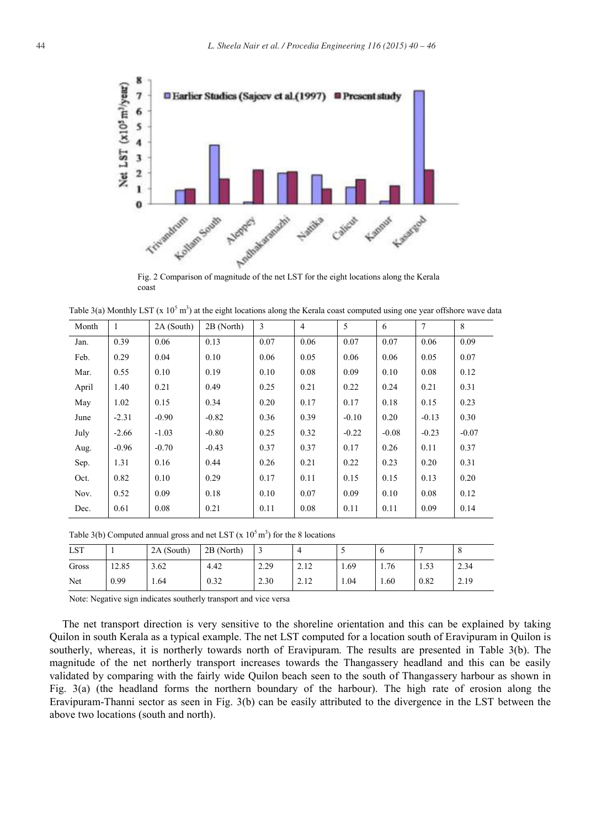

coast

Table 3(a) Monthly LST (x  $10^5$  m<sup>3</sup>) at the eight locations along the Kerala coast computed using one year offshore wave data

| Month | 1       | 2A (South) | 2B (North) | 3    | $\overline{4}$ | 5       | 6       | 7       | 8       |
|-------|---------|------------|------------|------|----------------|---------|---------|---------|---------|
| Jan.  | 0.39    | 0.06       | 0.13       | 0.07 | 0.06           | 0.07    | 0.07    | 0.06    | 0.09    |
| Feb.  | 0.29    | 0.04       | 0.10       | 0.06 | 0.05           | 0.06    | 0.06    | 0.05    | 0.07    |
| Mar.  | 0.55    | 0.10       | 0.19       | 0.10 | 0.08           | 0.09    | 0.10    | 0.08    | 0.12    |
| April | 1.40    | 0.21       | 0.49       | 0.25 | 0.21           | 0.22    | 0.24    | 0.21    | 0.31    |
| May   | 1.02    | 0.15       | 0.34       | 0.20 | 0.17           | 0.17    | 0.18    | 0.15    | 0.23    |
| June  | $-2.31$ | $-0.90$    | $-0.82$    | 0.36 | 0.39           | $-0.10$ | 0.20    | $-0.13$ | 0.30    |
| July  | $-2.66$ | $-1.03$    | $-0.80$    | 0.25 | 0.32           | $-0.22$ | $-0.08$ | $-0.23$ | $-0.07$ |
| Aug.  | $-0.96$ | $-0.70$    | $-0.43$    | 0.37 | 0.37           | 0.17    | 0.26    | 0.11    | 0.37    |
| Sep.  | 1.31    | 0.16       | 0.44       | 0.26 | 0.21           | 0.22    | 0.23    | 0.20    | 0.31    |
| Oct.  | 0.82    | 0.10       | 0.29       | 0.17 | 0.11           | 0.15    | 0.15    | 0.13    | 0.20    |
| Nov.  | 0.52    | 0.09       | 0.18       | 0.10 | 0.07           | 0.09    | 0.10    | 0.08    | 0.12    |
| Dec.  | 0.61    | 0.08       | 0.21       | 0.11 | 0.08           | 0.11    | 0.11    | 0.09    | 0.14    |

Table 3(b) Computed annual gross and net LST  $(x 10<sup>5</sup> m<sup>3</sup>)$  for the 8 locations

| <b>LST</b> |       | 2A (South) | 2B (North) | ◡    |             | ◡    |      |      | v    |
|------------|-------|------------|------------|------|-------------|------|------|------|------|
| Gross      | 12.85 | 3.62       | 4.42       | 2.29 | 212<br>2.12 | 1.69 | 1.76 | 1.53 | 2.34 |
| Net        | 0.99  | 1.64       | 0.32       | 2.30 | 2.12        | 1.04 | 1.60 | 0.82 | 2.19 |

Note: Negative sign indicates southerly transport and vice versa

The net transport direction is very sensitive to the shoreline orientation and this can be explained by taking Quilon in south Kerala as a typical example. The net LST computed for a location south of Eravipuram in Quilon is southerly, whereas, it is northerly towards north of Eravipuram. The results are presented in Table 3(b). The magnitude of the net northerly transport increases towards the Thangassery headland and this can be easily validated by comparing with the fairly wide Quilon beach seen to the south of Thangassery harbour as shown in Fig. 3(a) (the headland forms the northern boundary of the harbour). The high rate of erosion along the Eravipuram-Thanni sector as seen in Fig. 3(b) can be easily attributed to the divergence in the LST between the above two locations (south and north).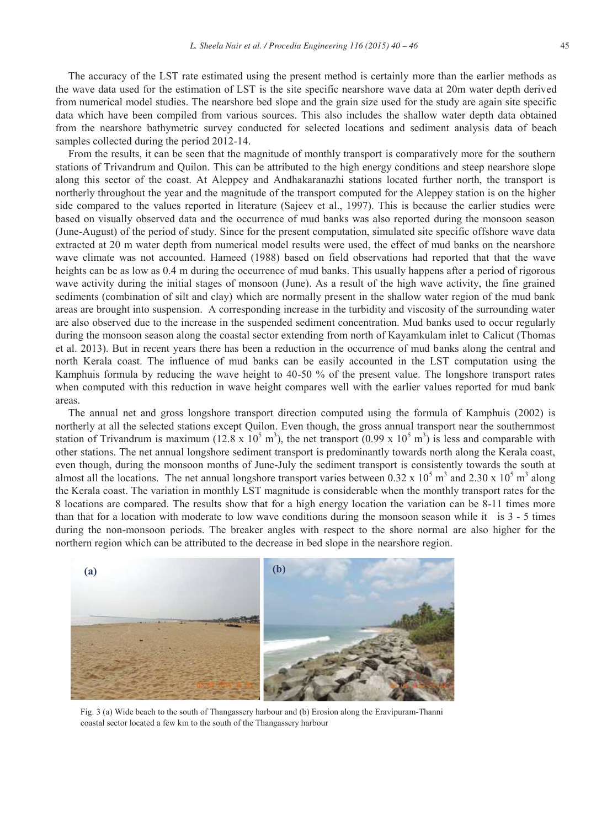The accuracy of the LST rate estimated using the present method is certainly more than the earlier methods as the wave data used for the estimation of LST is the site specific nearshore wave data at 20m water depth derived from numerical model studies. The nearshore bed slope and the grain size used for the study are again site specific data which have been compiled from various sources. This also includes the shallow water depth data obtained from the nearshore bathymetric survey conducted for selected locations and sediment analysis data of beach samples collected during the period 2012-14.

From the results, it can be seen that the magnitude of monthly transport is comparatively more for the southern stations of Trivandrum and Quilon. This can be attributed to the high energy conditions and steep nearshore slope along this sector of the coast. At Aleppey and Andhakaranazhi stations located further north, the transport is northerly throughout the year and the magnitude of the transport computed for the Aleppey station is on the higher side compared to the values reported in literature (Sajeev et al., 1997). This is because the earlier studies were based on visually observed data and the occurrence of mud banks was also reported during the monsoon season (June-August) of the period of study. Since for the present computation, simulated site specific offshore wave data extracted at 20 m water depth from numerical model results were used, the effect of mud banks on the nearshore wave climate was not accounted. Hameed (1988) based on field observations had reported that that the wave heights can be as low as 0.4 m during the occurrence of mud banks. This usually happens after a period of rigorous wave activity during the initial stages of monsoon (June). As a result of the high wave activity, the fine grained sediments (combination of silt and clay) which are normally present in the shallow water region of the mud bank areas are brought into suspension. A corresponding increase in the turbidity and viscosity of the surrounding water are also observed due to the increase in the suspended sediment concentration. Mud banks used to occur regularly during the monsoon season along the coastal sector extending from north of Kayamkulam inlet to Calicut (Thomas et al. 2013). But in recent years there has been a reduction in the occurrence of mud banks along the central and north Kerala coast. The influence of mud banks can be easily accounted in the LST computation using the Kamphuis formula by reducing the wave height to 40-50 % of the present value. The longshore transport rates when computed with this reduction in wave height compares well with the earlier values reported for mud bank areas.

The annual net and gross longshore transport direction computed using the formula of Kamphuis (2002) is northerly at all the selected stations except Quilon. Even though, the gross annual transport near the southernmost station of Trivandrum is maximum (12.8 x  $10^5$  m<sup>3</sup>), the net transport (0.99 x  $10^5$  m<sup>3</sup>) is less and comparable with other stations. The net annual longshore sediment transport is predominantly towards north along the Kerala coast, even though, during the monsoon months of June-July the sediment transport is consistently towards the south at almost all the locations. The net annual longshore transport varies between  $0.32 \times 10^5$  m<sup>3</sup> and  $2.30 \times 10^5$  m<sup>3</sup> along the Kerala coast. The variation in monthly LST magnitude is considerable when the monthly transport rates for the 8 locations are compared. The results show that for a high energy location the variation can be 8-11 times more than that for a location with moderate to low wave conditions during the monsoon season while it is 3 - 5 times during the non-monsoon periods. The breaker angles with respect to the shore normal are also higher for the northern region which can be attributed to the decrease in bed slope in the nearshore region.



Fig. 3 (a) Wide beach to the south of Thangassery harbour and (b) Erosion along the Eravipuram-Thanni coastal sector located a few km to the south of the Thangassery harbour